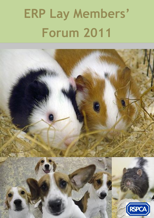# **ERP Lay Members' Forum 2011**

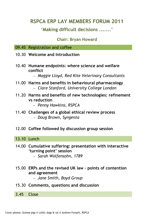# **RSPCA ERP LAY MEMBERS FORUM 2011**

# **'Making difficult decisions .......'**

## **Chair: Bryan Howard**

- 09.45 Registration and coffee
- 10.30 **Welcome and Introduction**
- 10.40 **Humane endpoints: where science and welfare conflict**

*Maggie Lloyd, Red Kite Veterinary Consultants*

- 11.00 **Harms and benefits in behavioural pharmacology** *Clare Stanford, University College London*
- 11.20 **Harms and benefits of new technologies: refinement vs reduction**

*Penny Hawkins, RSPCA*

- 11.40 **Challenges of a global ethical review process** *Doug Brown, Syngenta*
- 12.00 **Coffee followed by discussion group session**

## 13.10 Lunch

- 14.00 **Cumulative suffering: presentation with interactive 'turning point' session**
	- *Sarah Wolfensohn, 1789*
- 15.00 **ERPs and the revised UK law – points of contention and agreement**

*Jane Smith, Boyd Group*

15.30 **Comments, questions and discussion** 

3.45 Close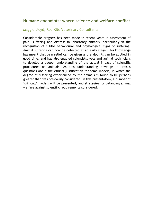## **Humane endpoints: where science and welfare conflict**

#### Maggie Lloyd, Red Kite Veterinary Consultants

Considerable progress has been made in recent years in assessment of pain, suffering and distress in laboratory animals, particularly in the recognition of subtle behavioural and physiological signs of suffering. Animal suffering can now be detected at an early stage. This knowledge has meant that pain relief can be given and endpoints can be applied in good time, and has also enabled scientists, vets and animal technicians to develop a deeper understanding of the actual impact of scientific procedures on animals. As this understanding develops, it raises questions about the ethical justification for some models, in which the degree of suffering experienced by the animals is found to be perhaps greater than was previously considered. In this presentation, a number of 'difficult' models will be presented, and strategies for balancing animal welfare against scientific requirements considered.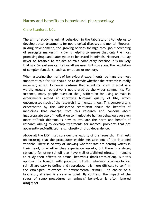## Harms and benefits in behavioural pharmacology

#### Clare Stanford, UCL

The aim of studying animal behaviour in the laboratory is to help us to develop better treatments for neurological diseases and mental illnesses. In drug development, the growing options for high-throughput screening of surrogate markers *in vitro* is helping to ensure that only the most promising drug candidates go on to be tested in animals. However, it may never be feasible to replace animals completely because it is unlikely that *in vitro* systems can tell us all we need to know about the regulation of complex functions, such as emotions or memory.

When assessing the merit of behavioural experiments, perhaps the most important role for ERP should be to decide whether the research is really necessary at all. Evidence confirms that scientists' view of what is a worthy research objective is not shared by the wider community. For instance, many people question the justification for using animals in experiments aimed at improving humans' quality of life, which encompasses much of the research into mental illness. This controversy is exacerbated by the widespread scepticism about the benefits of medicines that emerge from this research and concern about inappropriate use of medication to manipulate human behaviour. An even more difficult dilemma is how to evaluate the harm and benefit of research aiming to develop treatments for medical problems that are apparently self-inflicted: e.g., obesity or drug dependence.

Above all the ERP must consider the validity of the research. This rests on ensuring that the procedures enable measurement of the intended variable. There is no way of knowing whether rats are hearing voices in their head, or whether they experience anxiety, but there is a strong rationale for using stimuli that have well-established effects in humans to study their effects on animal behaviour (back-translation). But this approach is fraught with potential pitfalls: whereas pharmacological stimuli are easy to define and reproduce, it is more difficult to confirm the etiological relevance of environmental stimuli. The choice of a laboratory stressor is a case in point. By contrast, the impact of the stress of some procedures on animals" behaviour is often ignored altogether.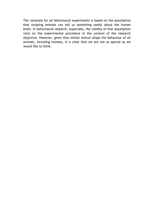The rationale for all behavioural experiments is based on the assumption that studying animals can tell us something useful about the human brain. In behavioural research, especially, the validity of that assumption rests on the experimental procedure in the context of the research objective. However, given that similar stimuli shape the behaviour of all animals, including humans, it is clear that we are not as special as we would like to think.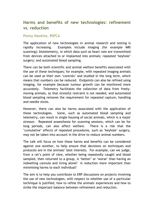# **Harms and benefits of new technologies: refinement vs. reduction**

#### Penny Hawkins, RSPCA

The application of new technologies in animal research and testing is rapidly increasing. Examples include imaging (for example MRI scanning); biotelemetry, in which data such as heart rate are transmitted from devices attached to or implanted into animals; repeated "keyhole" surgery; and automated blood sampling.

There can be both scientific and animal welfare benefits associated with the use of these techniques; for example, with repeated imaging animals can be used as their own "controls" and studied in the long term, which means that numbers can be reduced. Endpoints can also be refined using imaging, for example because tumour growth can be monitored more accurately. Telemetry facilitates the collection of data from freelymoving animals, so that stressful restraint is not needed, and automated blood sampling removes the requirement for repeated capture, handling and needle sticks.

However, there can also be harms associated with the application of these technologies. Some, such as automated blood sampling and telemetry, can result in single housing of social animals, which is a major stressor. Repeated anaesthesia for scanning sessions, which can be for long periods, can also affect welfare. There is a risk that the "cumulative" effects of repeated procedures, such as "keyhole" surgery, may not be taken into account in the drive to reduce animal numbers.

The talk will focus on how these harms and benefits can be considered against one another, to help ensure that decisions on techniques and protocols are in the animals" best interests. For example, can we judge, from a rat"s point of view, whether being repeatedly caught and blood sampled, then returned to a group, is 'better' or 'worse' than having an indwelling cannula and living alone? Is reduction more important than minimising harms to each individual?

The aim is to help you contribute to ERP discussions on projects involving the use of new technologies, with respect to whether use of a particular technique is justified, how to refine the animals' experiences and how to strike the important balance between refinement and reduction.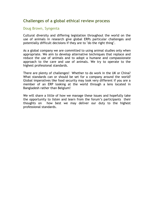# **Challenges of a global ethical review process**

#### Doug Brown, Syngenta

Cultural diversity and differing legislation throughout the world on the use of animals in research give global ERPs particular challenges and potentially difficult decisions if they are to "do the right thing".

As a global company we are committed to using animal studies only when appropriate. We aim to develop alternative techniques that replace and reduce the use of animals and to adopt a humane and compassionate approach to the care and use of animals. We try to operate to the highest professional standards.

There are plenty of challenges! Whether to do work in the UK or China? What standards can or should be set for a company around the world? Global imperatives like food security may look very different if you are a member of an ERP looking at the world through a lens located in Bangladesh rather than Belgium!

We will share a little of how we manage these issues and hopefully take the opportunity to listen and learn from the forum"s participants their thoughts on how best we may deliver our duty to the highest professional standards.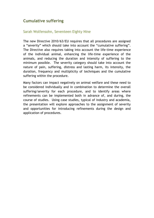# **Cumulative suffering**

#### Sarah Wolfensohn, Seventeen Eighty Nine

The new Directive 2010/63/EU requires that all procedures are assigned a "severity" which should take into account the "cumulative suffering". The Directive also requires taking into account the life-time experience of the individual animal, enhancing the life-time experience of the animals, and reducing the duration and intensity of suffering to the minimum possible. The severity category should take into account the nature of pain, suffering, distress and lasting harm, its intensity, the duration, frequency and multiplicity of techniques and the cumulative suffering within the procedure.

Many factors can impact negatively on animal welfare and these need to be considered individually and in combination to determine the overall suffering/severity for each procedure, and to identify areas where refinements can be implemented both in advance of, and during, the course of studies. Using case studies, typical of industry and academia, the presentation will explore approaches to the assignment of severity and opportunities for introducing refinements during the design and application of procedures.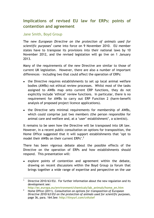# **Implications of revised EU law for ERPs: points of contention and agreement**

#### Jane Smith, Boyd Group

The new *European Directive on the protection of animals used for*  scientific purposes<sup>1</sup> came into force on 9 November 2010. EU member states have to transpose its provisions into their national laws by 10 November 2012, and the revised legislation will go live on 1 January 2013.

Many of the requirements of the new Directive are similar to those of current UK legislation. However, there are also a number of important differences – including two that could affect the operation of ERPs:

- the Directive requires establishments to set up local animal welfare bodies (AWBs) not ethical review processes. Whilst most of the tasks assigned to AWBs map onto current ERP functions, they do not explicitly include "ethical" review functions. In particular, there is no requirement for AWBs to carry out ERP Function 2 (harm-benefit analysis of proposed project licence applications).
- the Directive sets minimal requirements for membership of AWBs, which could comprise just two members (the person responsible for animal care and welfare and, at a 'user' establishment', a scientist).

It remains to be seen how the Directive will be transposed into UK law. However, in a recent public consultation on options for transposition, the Home Office suggested that it will support establishments that "opt to model their AWBs on their current ERPs".<sup>2</sup>

There has been vigorous debate about the possible effects of the Directive on the operation of ERPs and how establishments should respond. This presentation will:

explore points of contention and agreement within the debate, drawing on recent discussions within the Boyd Group (a forum that brings together a wide range of expertise and perspective on the use

 $\overline{a}$ Directive 2010/63/EU. For further information about the new regulation and its development see:

**http://ec.europa.eu/environment/chemicals/lab\_animals/home\_en.htm** <sup>2</sup> Home Office (2011). *Consultation on options for transposition of European Directive 2010/63/EU on the protection of animals used for scientific purposes*, page 36, para. 164.See: **http://tinyurl.com/cnhztef**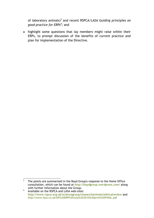of laboratory animals)<sup>3</sup> and recent RSPCA/LASA *Guiding principles on good practice for ERPs<sup>4</sup>* ; and

highlight some questions that lay members might raise within their ERPs, to prompt discussion of the benefits of current practice and plan for implementation of the Directive.

The points are summarised in the Boyd Group's response to the Home Office consultation, which can be found at **http://boydgroup.wordpress.com/** along with further information about the Group.

<sup>&</sup>lt;sup>4</sup> Available on the RSPCA and LASA web-sites: **http://www.rspca.org.uk/sciencegroup/researchanimals/ethicalreview** and **http://www.lasa.co.uk/GP%20ERP%20July%202010%20print%20FINAL.pdf**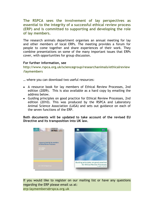**The RSPCA sees the involvement of lay perspectives as essential to the integrity of a successful ethical review process (ERP) and is committed to supporting and developing the role of lay members.**

The research animals department organises an annual meeting for lay and other members of local ERPs. The meeting provides a forum for people to come together and share experiences of their work. They combine presentations on some of the many important issues that ERPs cover, with opportunities for group discussion.

#### **For further information, see**

**http://www.rspca.org.uk/sciencegroup/researchanimals/ethicalreview /laymembers**

… where you can download two useful resources:

- A resource book for lay members of Ethical Review Processes, 2nd edition (2009). This is also available as a hard copy by emailing the address below.
- Guiding principles on good practice for Ethical Review Processes, 2nd edition (2010). This was produced by the RSPCA and Laboratory Animal Science Association (LASA) and sets out guidance on each of the seven functions of the ERP.

**Both documents will be updated to take account of the revised EU Directive and its transposition into UK law.**



If you would like to register on our mailing list or have any questions regarding the ERP please email us at: **erp-laymembers@rspca.org.uk**